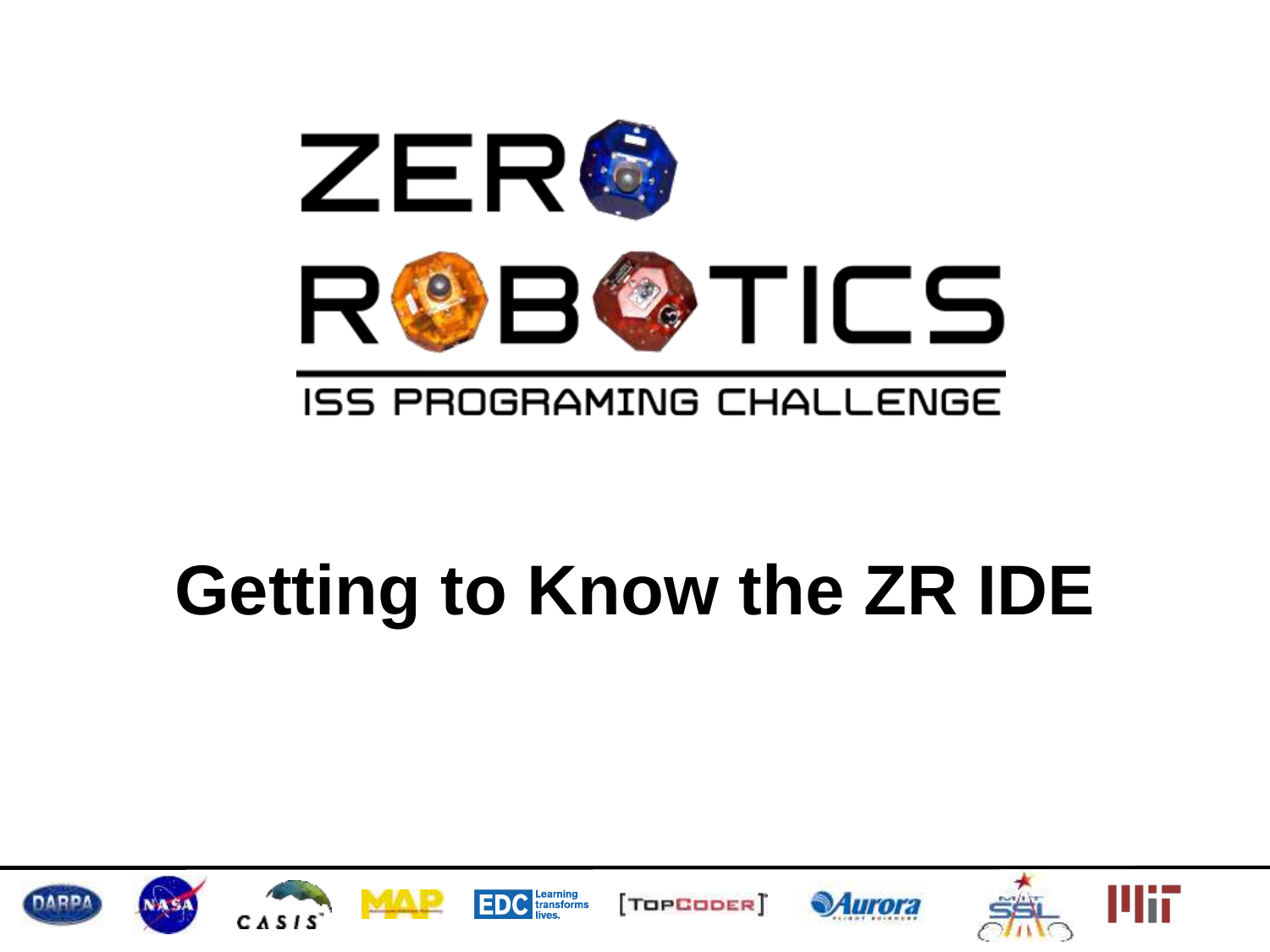

# **Getting to Know the ZR IDE**













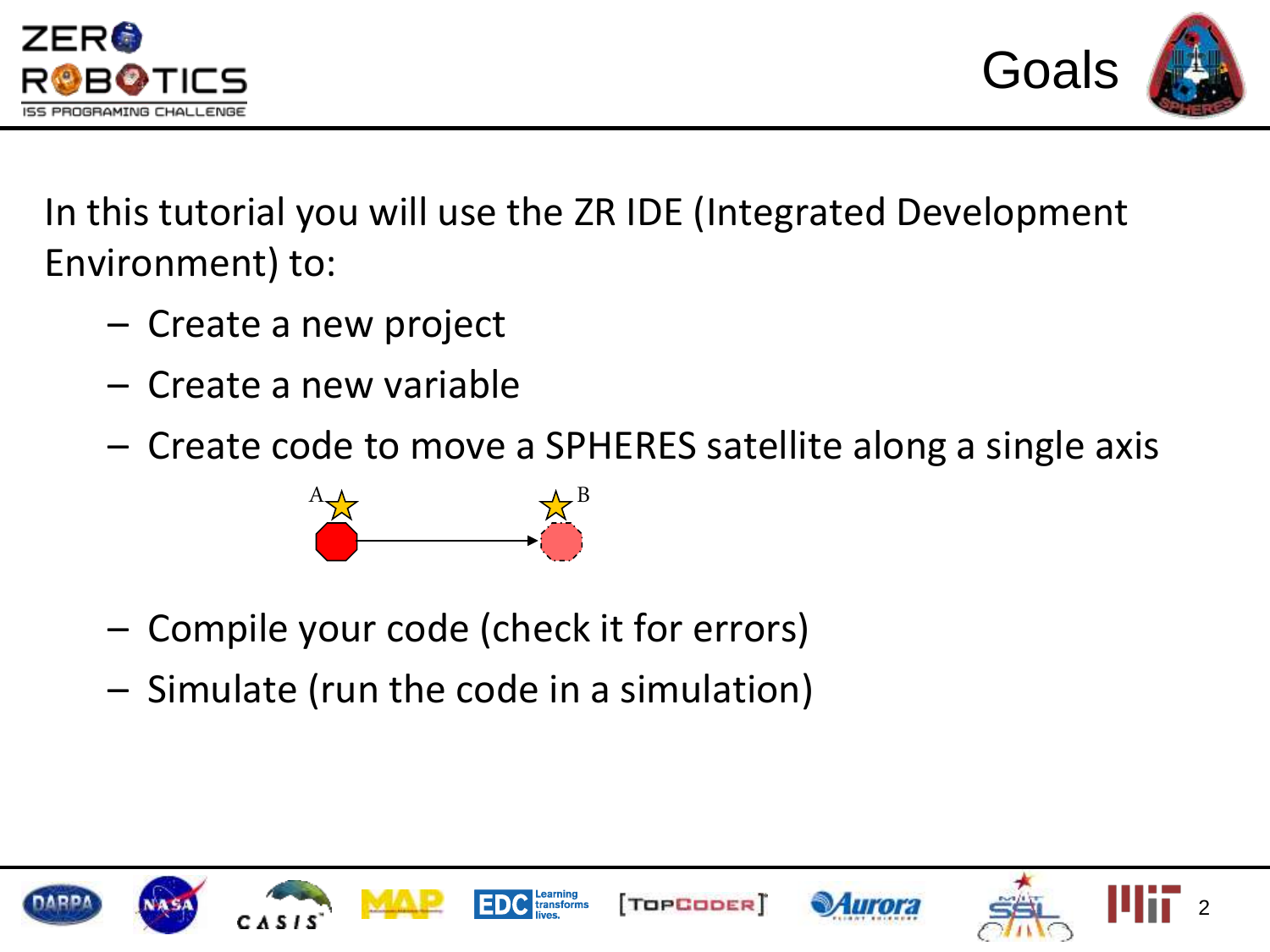



In this tutorial you will use the ZR IDE (Integrated Development Environment) to:

- Create a new project
- Create a new variable
- Create code to move a SPHERES satellite along a single axis



- Compile your code (check it for errors)
- Simulate (run the code in a simulation)







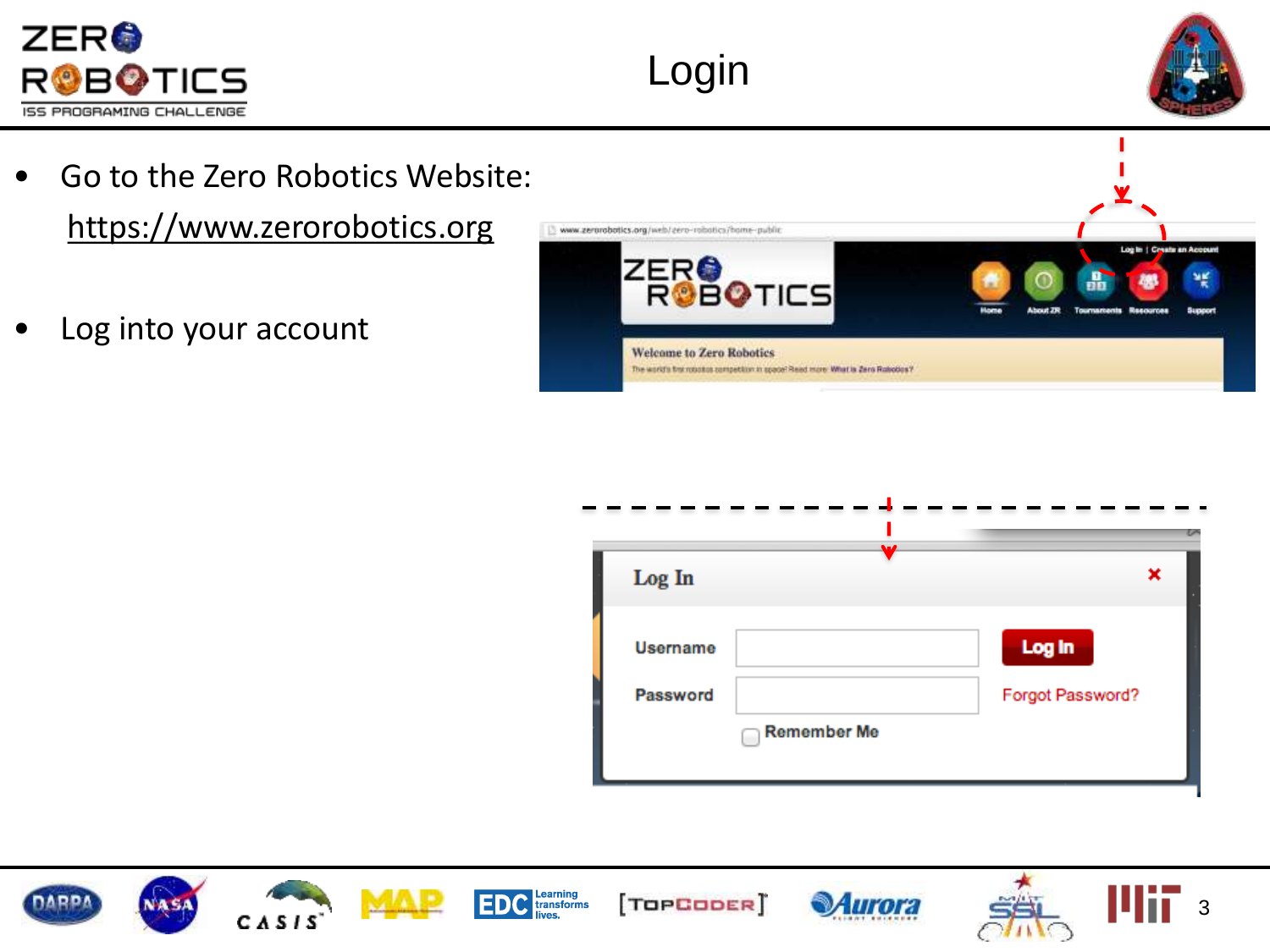



- Go to the Zero Robotics Website: https://www.zerorobotics.org
- Log into your account















Login





3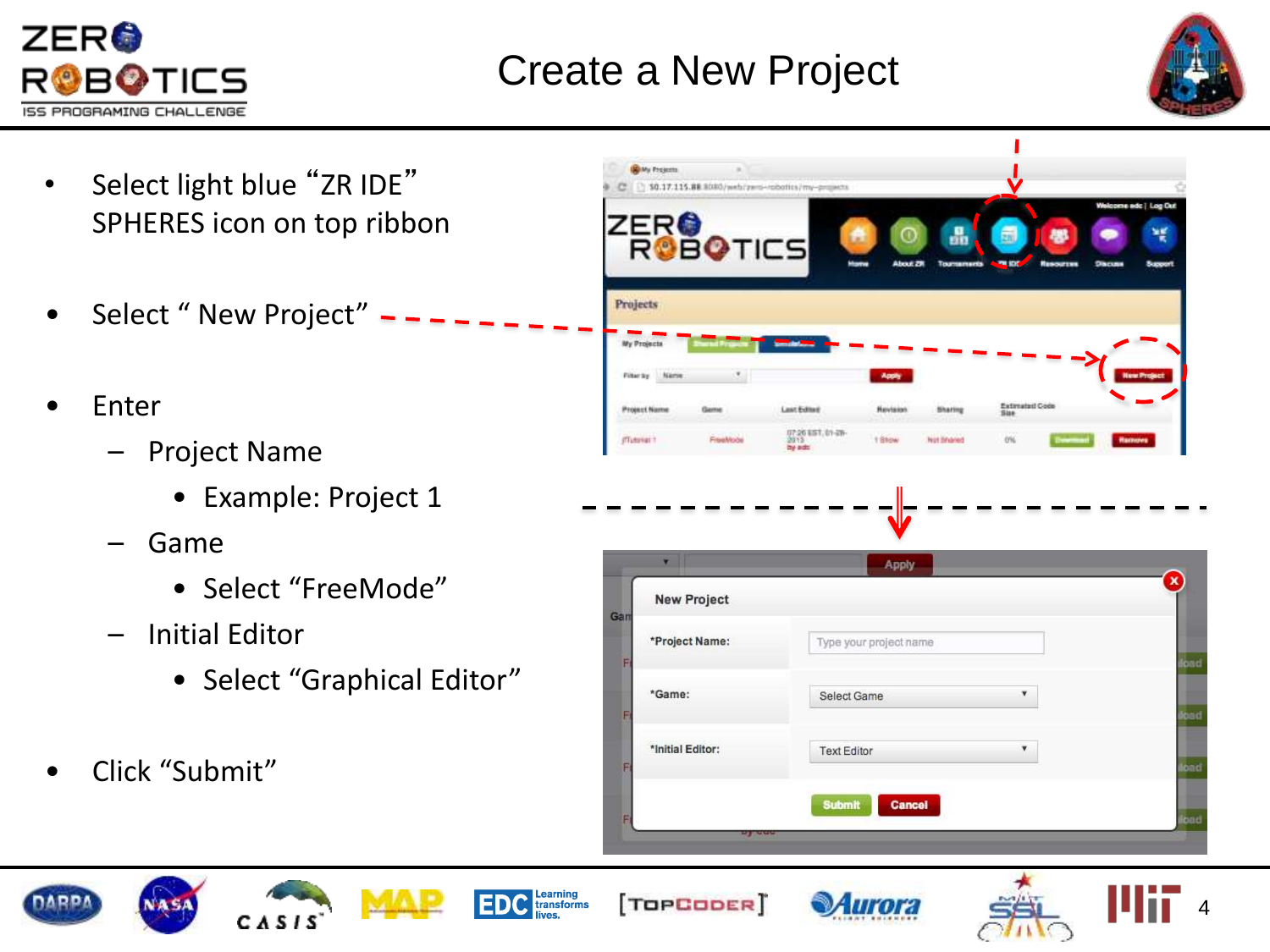

### Create a New Project



- Select light blue "ZR IDE" SPHERES icon on top ribbon
- Select " New Project"
- **Fnter** 
	- Project Name
		- Example: Project 1
	- Game
		- Select "FreeMode"
	- Initial Editor
		- Select "Graphical Editor"
- Click "Submit"











TOPCODER<sup>T</sup>



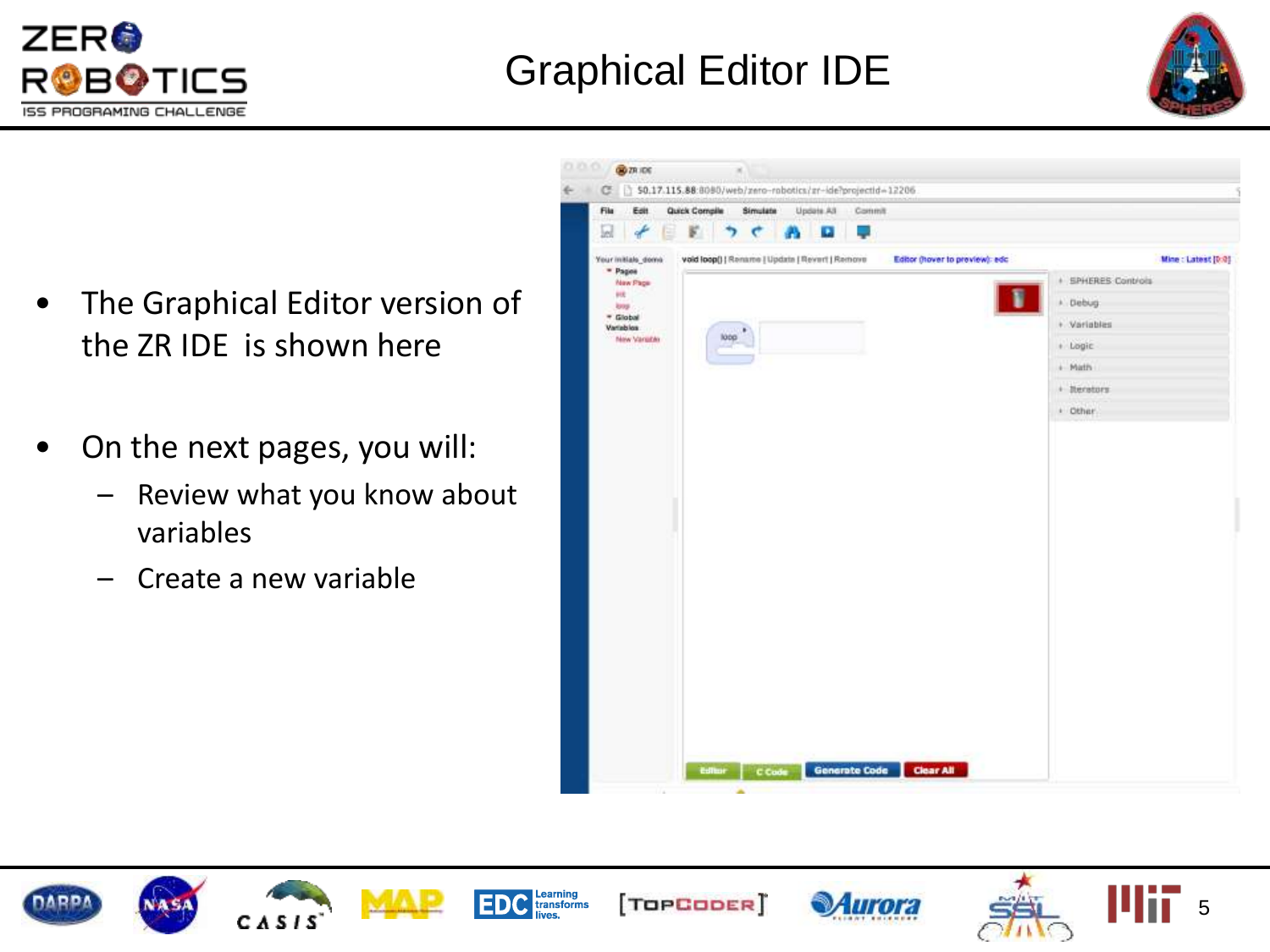

## Graphical Editor IDE



- The Graphical Editor version of the ZR IDE is shown here
- On the next pages, you will:
	- Review what you know about variables
	- Create a new variable









Learning<br>transforms





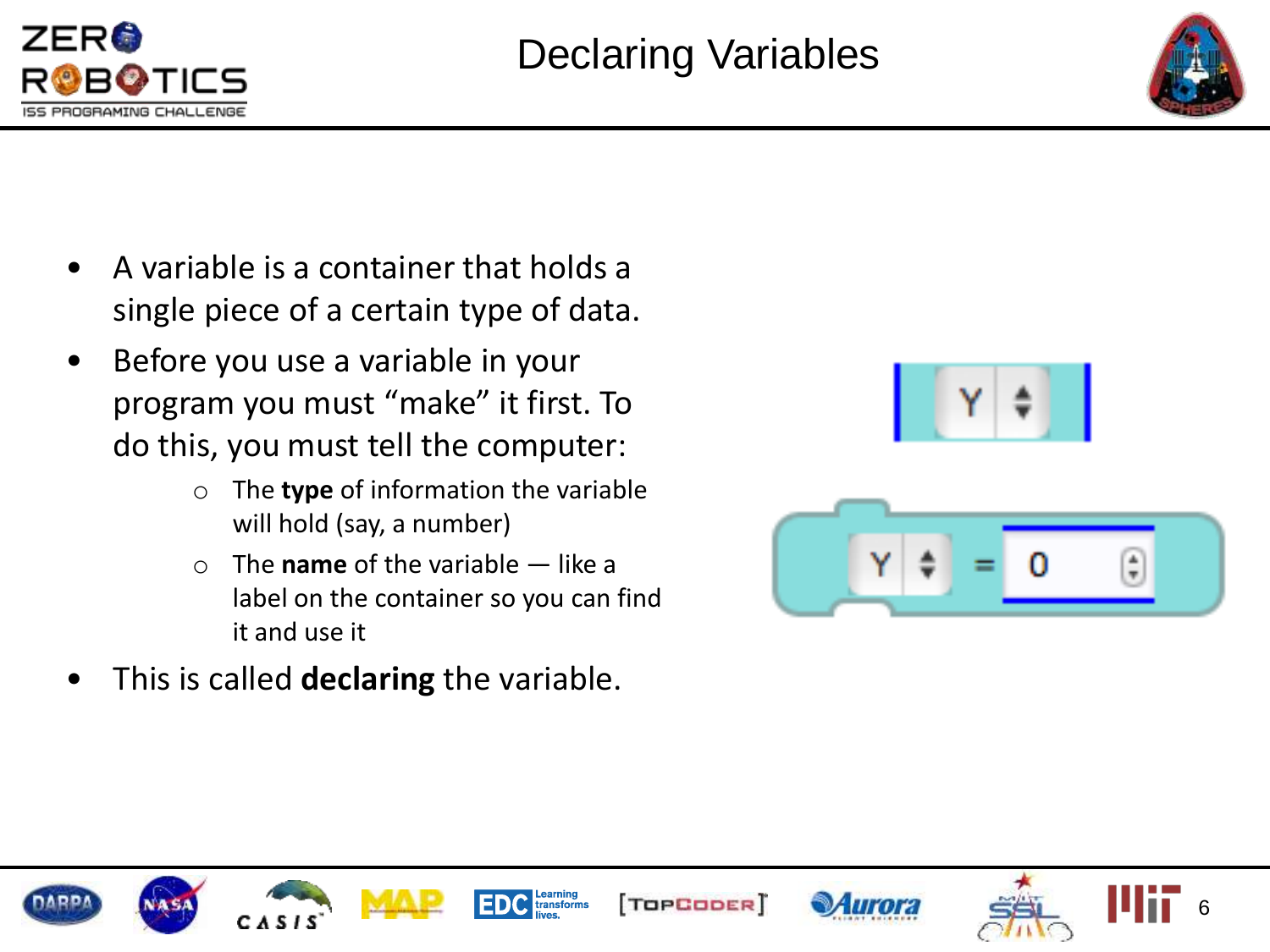



- A variable is a container that holds a single piece of a certain type of data.
- Before you use a variable in your program you must "make" it first. To do this, you must tell the computer:
	- o The **type** of information the variable will hold (say, a number)
	- o The **name** of the variable like a label on the container so you can find it and use it
- This is called **declaring** the variable.















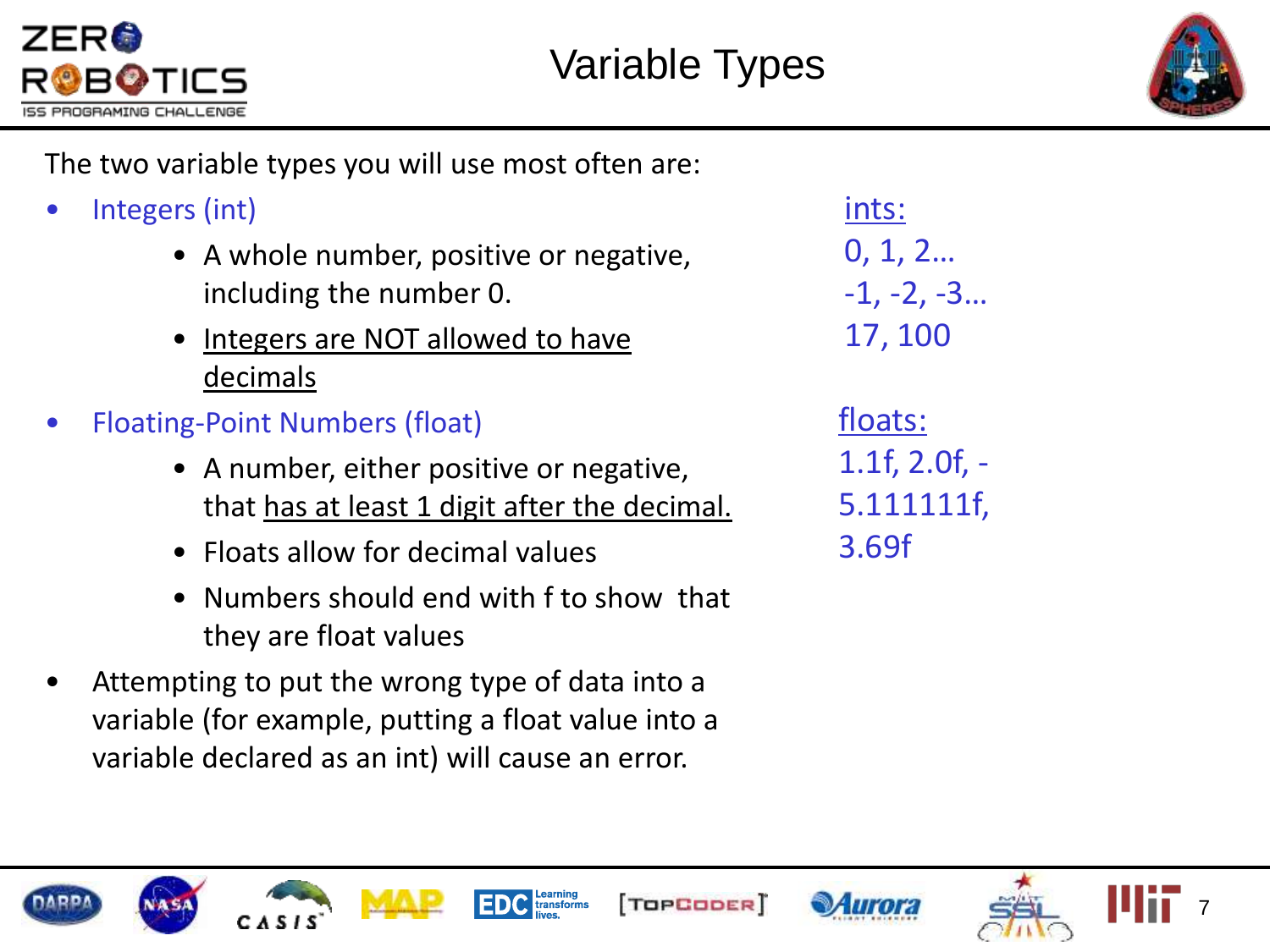



The two variable types you will use most often are:

- Integers (int)
	- A whole number, positive or negative, including the number 0.
	- Integers are NOT allowed to have decimals
- Floating-Point Numbers (float)
	- A number, either positive or negative, that has at least 1 digit after the decimal.
	- Floats allow for decimal values
	- Numbers should end with f to show that they are float values

Learning<br>transforms

• Attempting to put the wrong type of data into a variable (for example, putting a float value into a variable declared as an int) will cause an error.

ints: 0, 1, 2… -1, -2, -3… 17, 100 floats: 1.1f, 2.0f, - 5.111111f, 3.69f







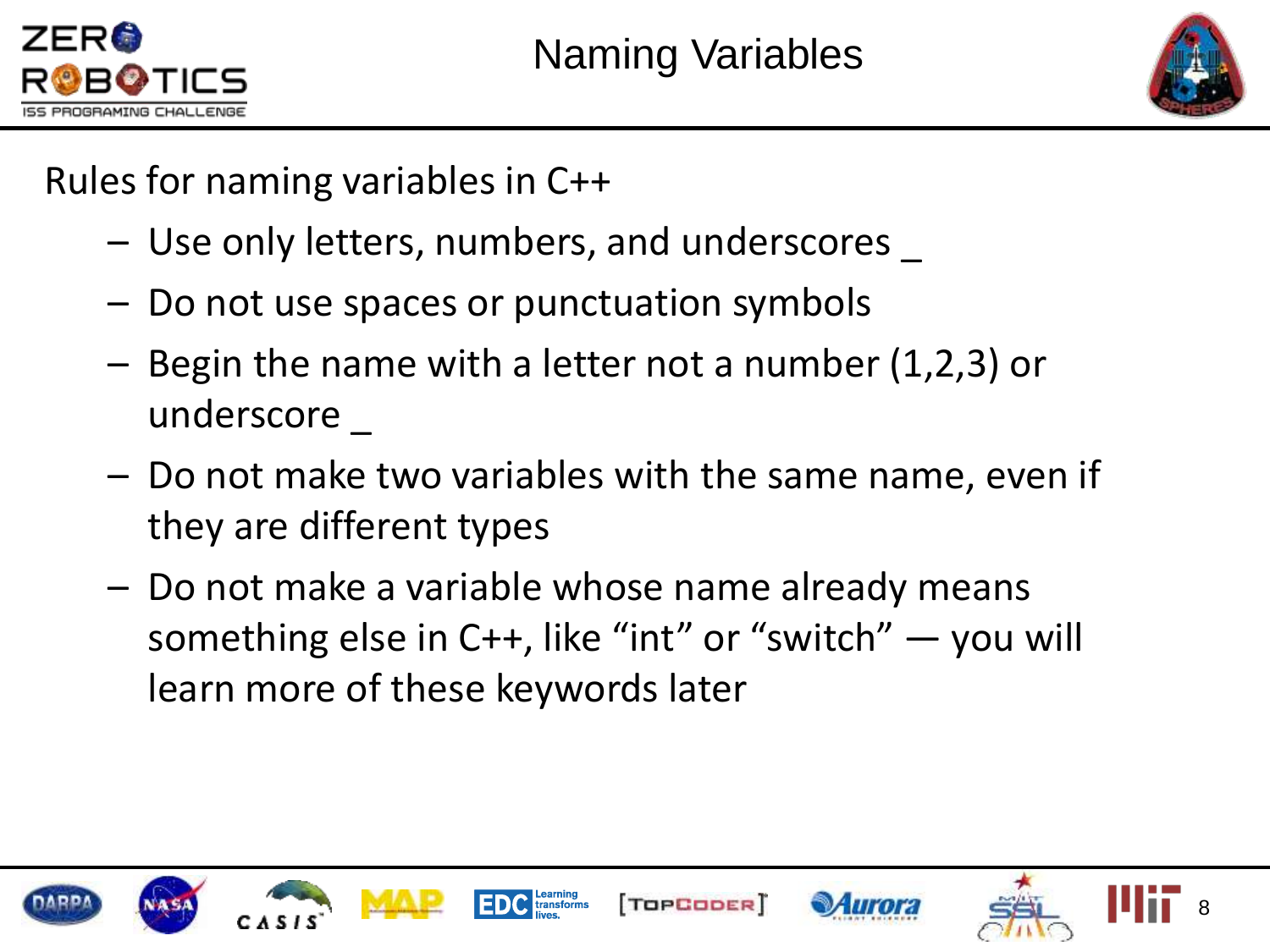



Rules for naming variables in C++

- Use only letters, numbers, and underscores \_
- Do not use spaces or punctuation symbols
- Begin the name with a letter not a number (1,2,3) or underscore
- Do not make two variables with the same name, even if they are different types
- Do not make a variable whose name already means something else in C++, like "int" or "switch" — you will learn more of these keywords later









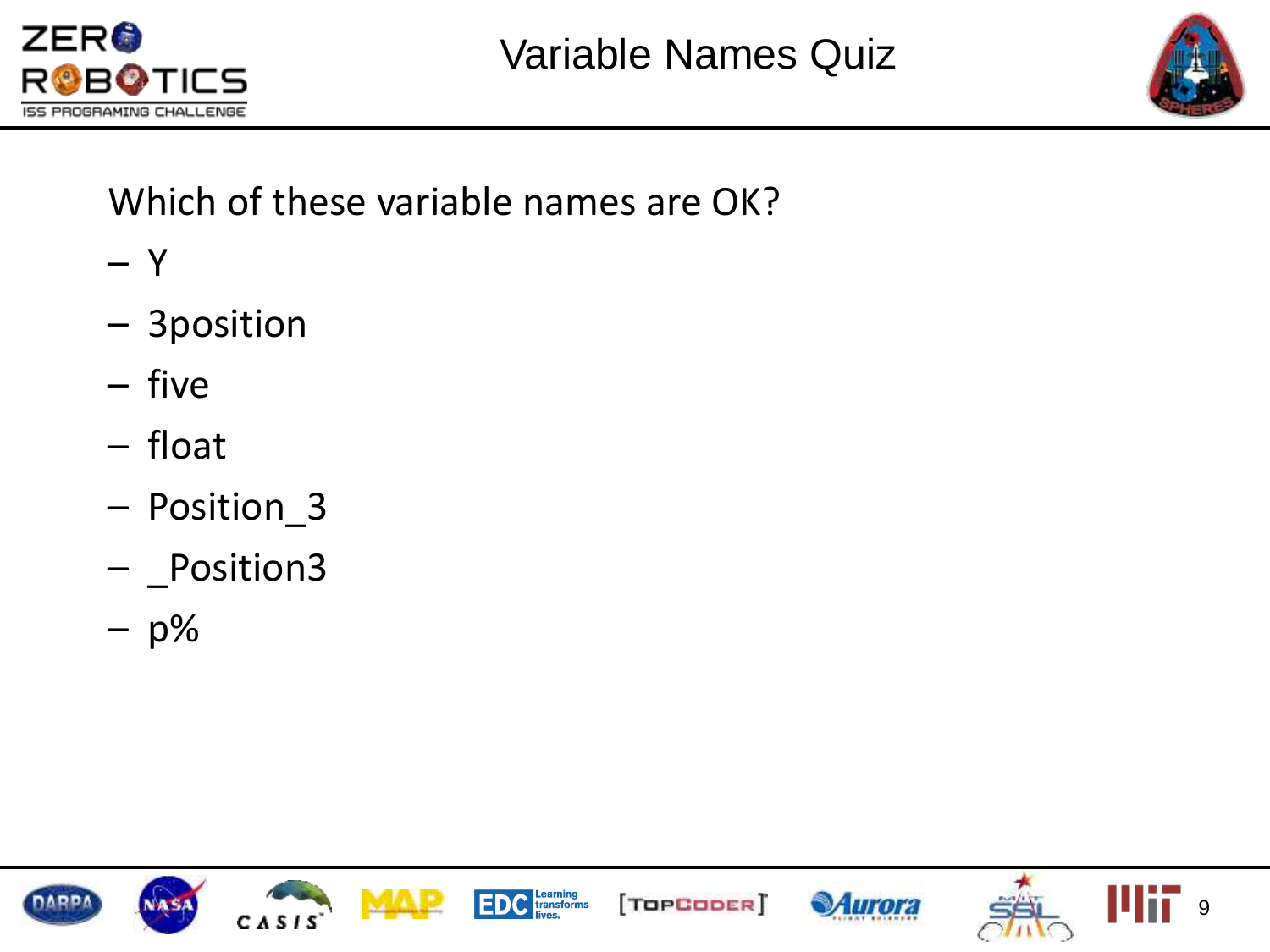



#### Which of these variable names are OK?

- Y
- 3position
- five
- float
- Position\_3
- \_Position3
- $p\%$





Learning<br>transforms<br>lives.



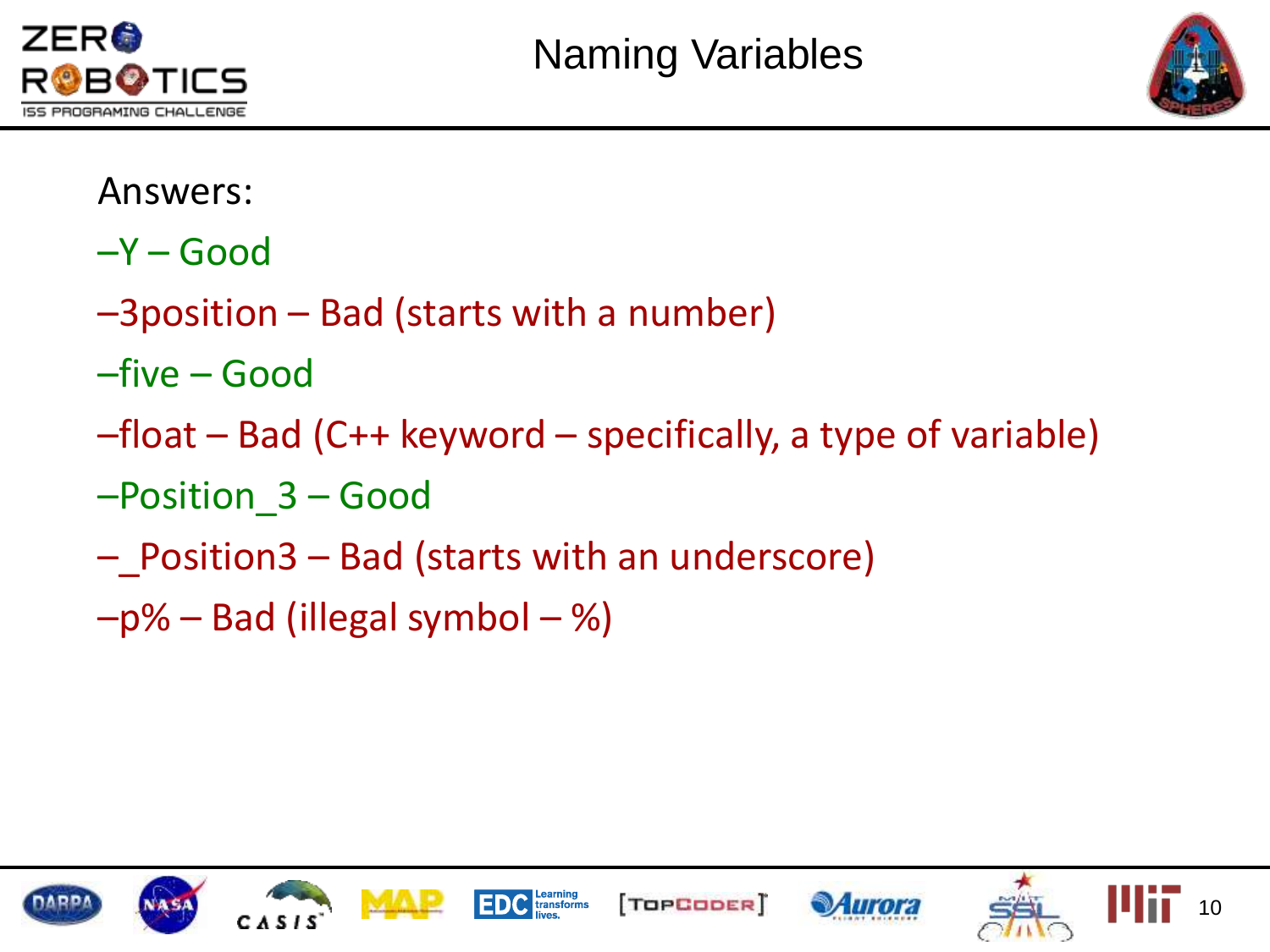



#### Answers:

- –Y Good
- –3position Bad (starts with a number)
- –five Good
- –float Bad (C++ keyword specifically, a type of variable)
- –Position\_3 Good
- –\_Position3 Bad (starts with an underscore)
- $-p$ % Bad (illegal symbol %)







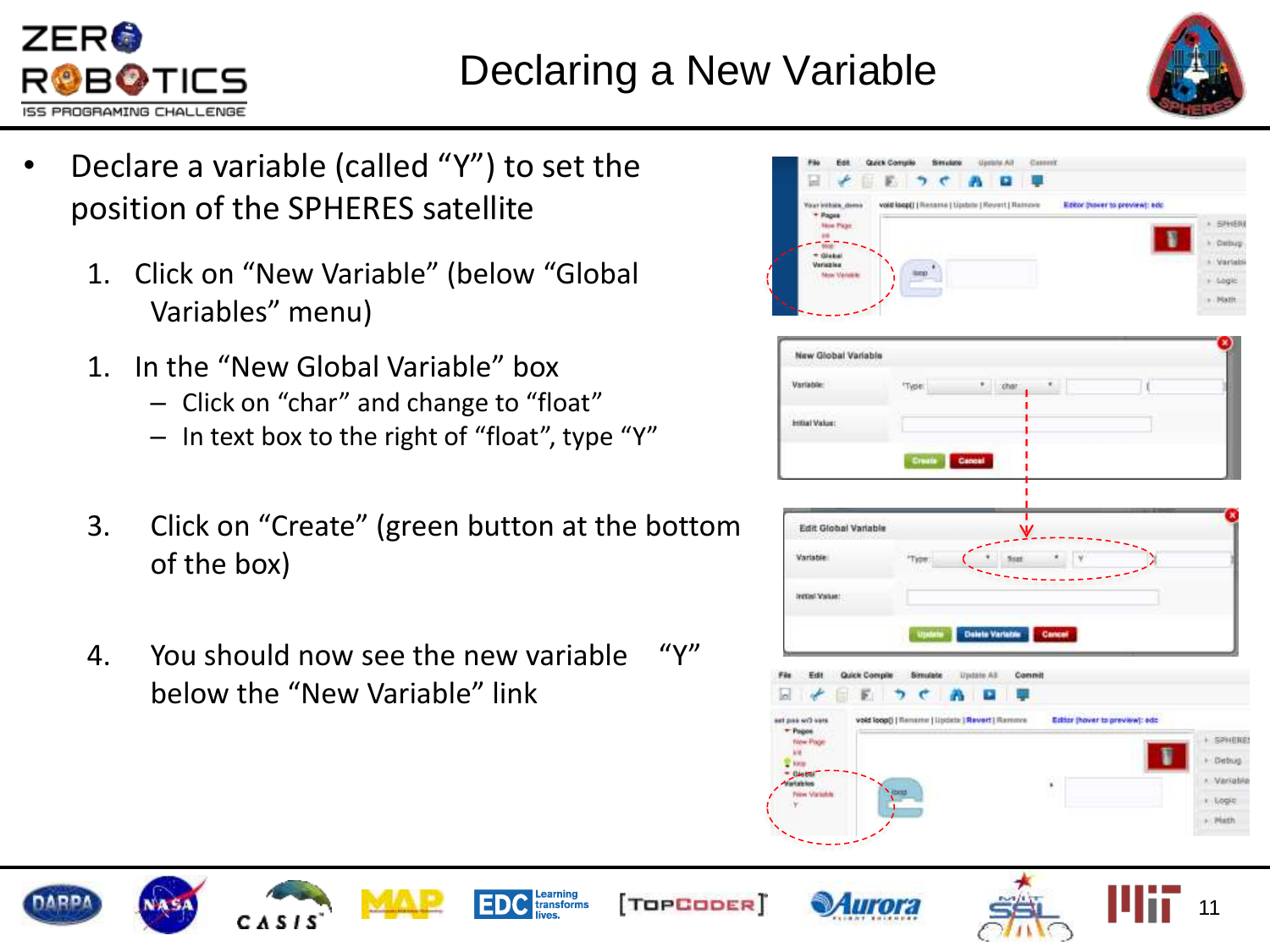



- Declare a variable (called "Y") to set the position of the SPHERES satellite
	- 1. Click on "New Variable" (below "Global Variables" menu)
	- 1. In the "New Global Variable" box
		- Click on "char" and change to "float"
		- In text box to the right of "float", type "Y"
	- 3. Click on "Create" (green button at the bottom of the box)
	- 4. You should now see the new variable "Y" below the "New Variable" link















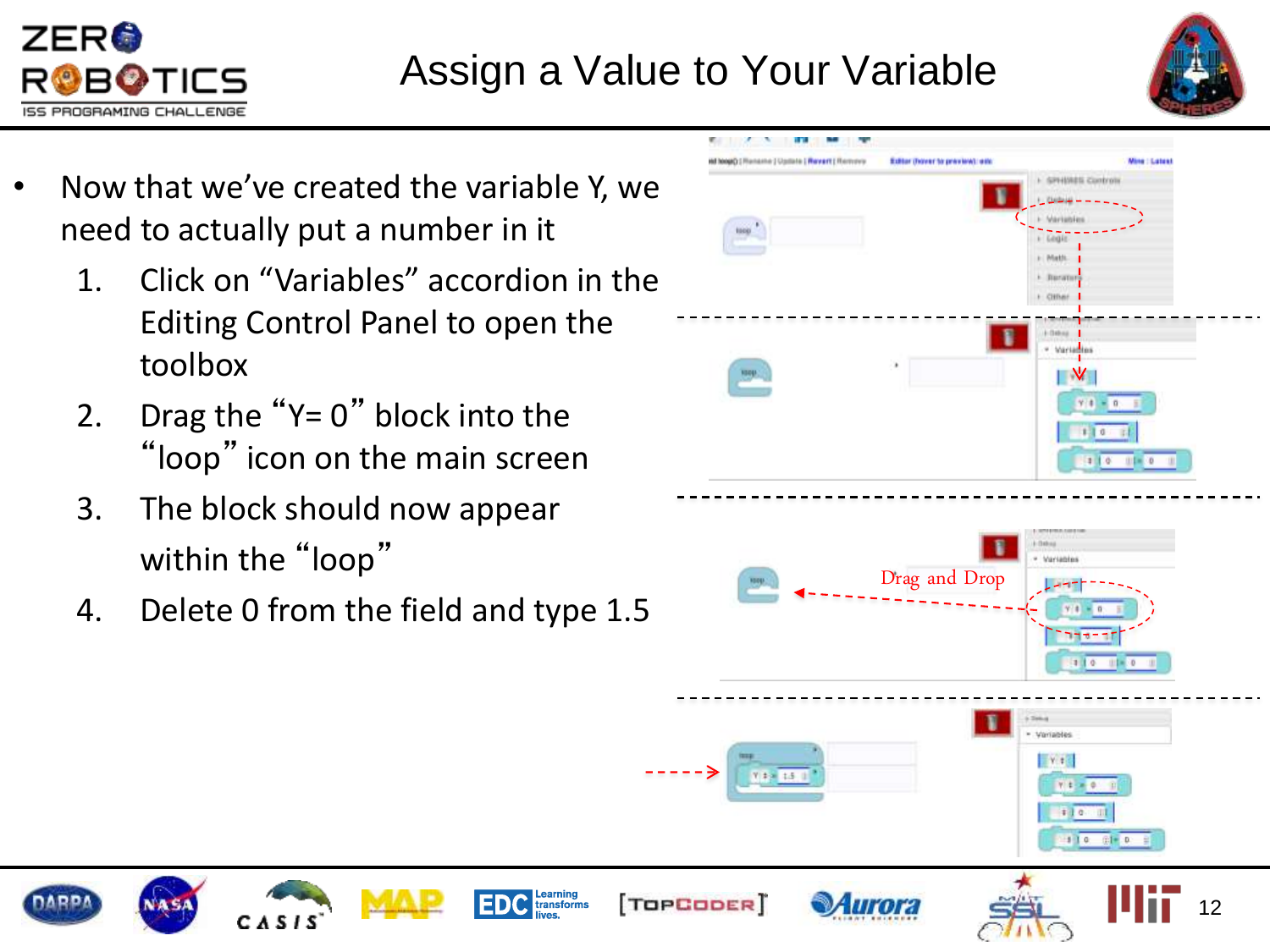



- Now that we've created the variable Y, we need to actually put a number in it
	- 1. Click on "Variables" accordion in the Editing Control Panel to open the toolbox
	- 2. Drag the " $Y= 0$ " block into the "loop" icon on the main screen
	- 3. The block should now appear within the "loop"
	- 4. Delete 0 from the field and type 1.5

earning

transforms

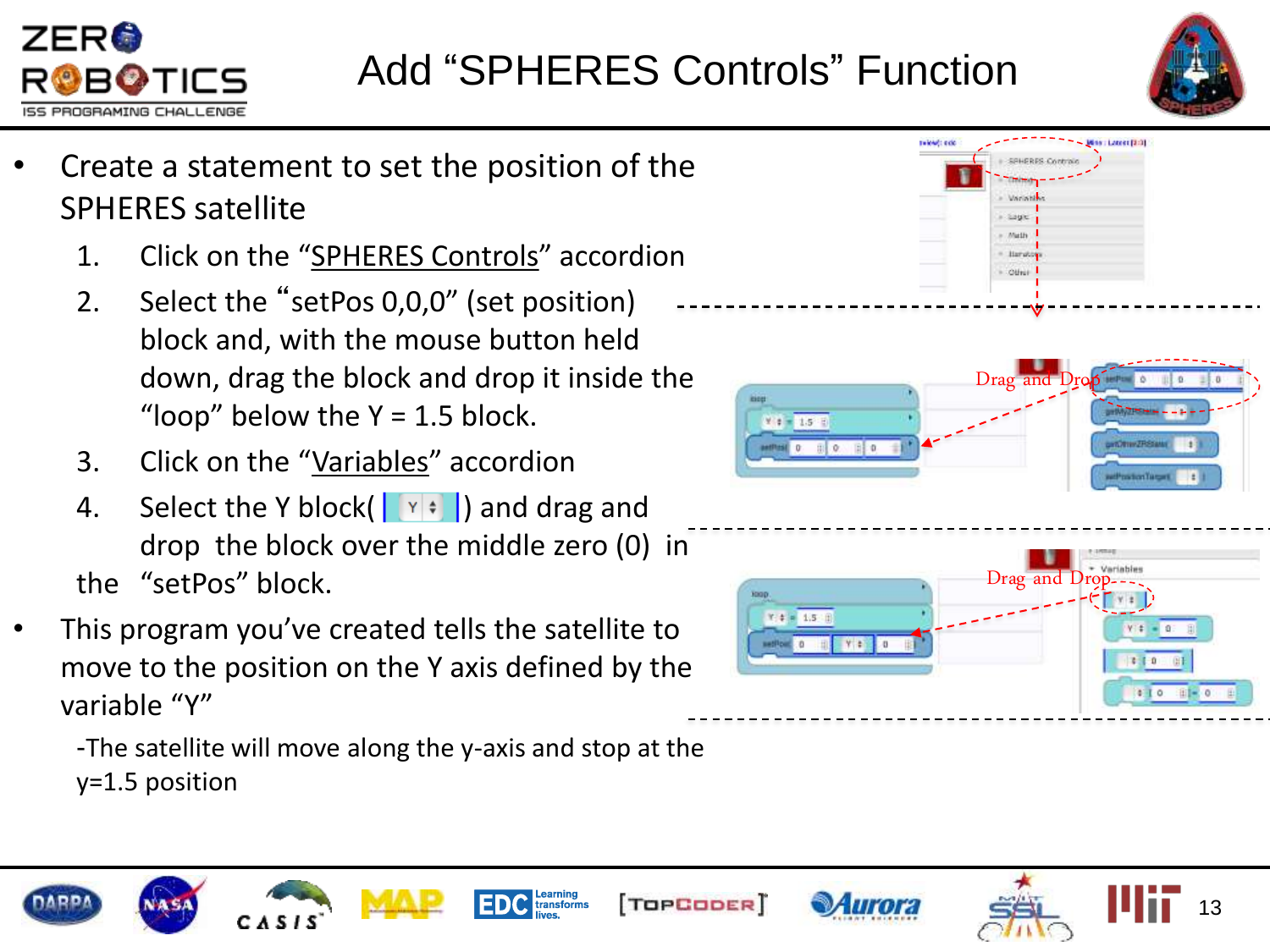



- Create a statement to set the position of the SPHERES satellite
	- 1. Click on the "SPHERES Controls" accordion
	- 2. Select the "setPos 0,0,0" (set position) block and, with the mouse button held down, drag the block and drop it inside the "loop" below the  $Y = 1.5$  block.
	- 3. Click on the "Variables" accordion
	- 4. Select the Y block(  $\left( \sqrt{y^2 + 1} \right)$  and drag and drop the block over the middle zero (0) in the "setPos" block.
- This program you've created tells the satellite to move to the position on the Y axis defined by the variable "Y"

-The satellite will move along the y-axis and stop at the y=1.5 position













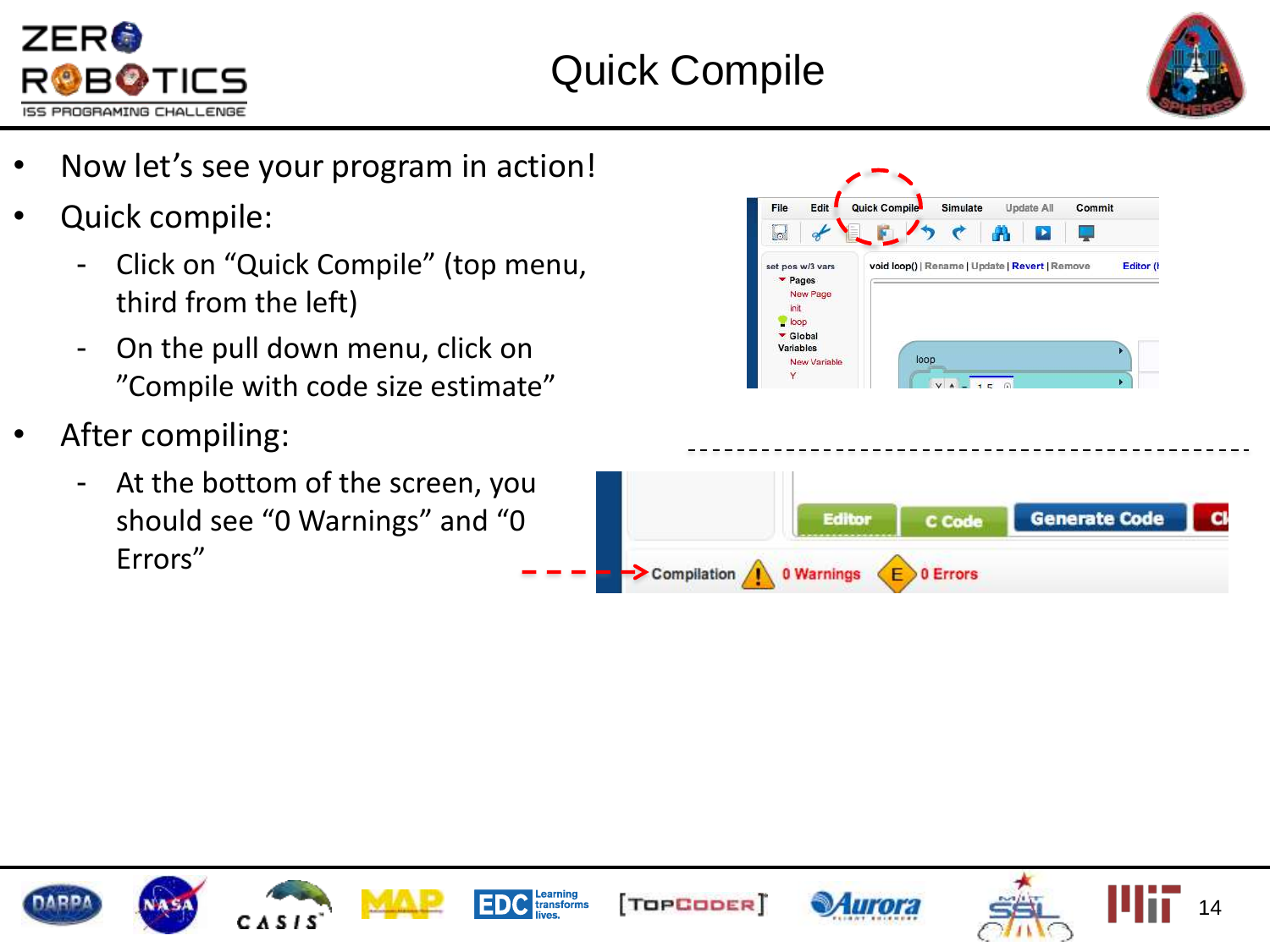



- Now let's see your program in action!
- Quick compile:
	- Click on "Quick Compile" (top menu, third from the left)
	- On the pull down menu, click on "Compile with code size estimate"
- After compiling:
	- At the bottom of the screen, you should see "0 Warnings" and "0 Errors"















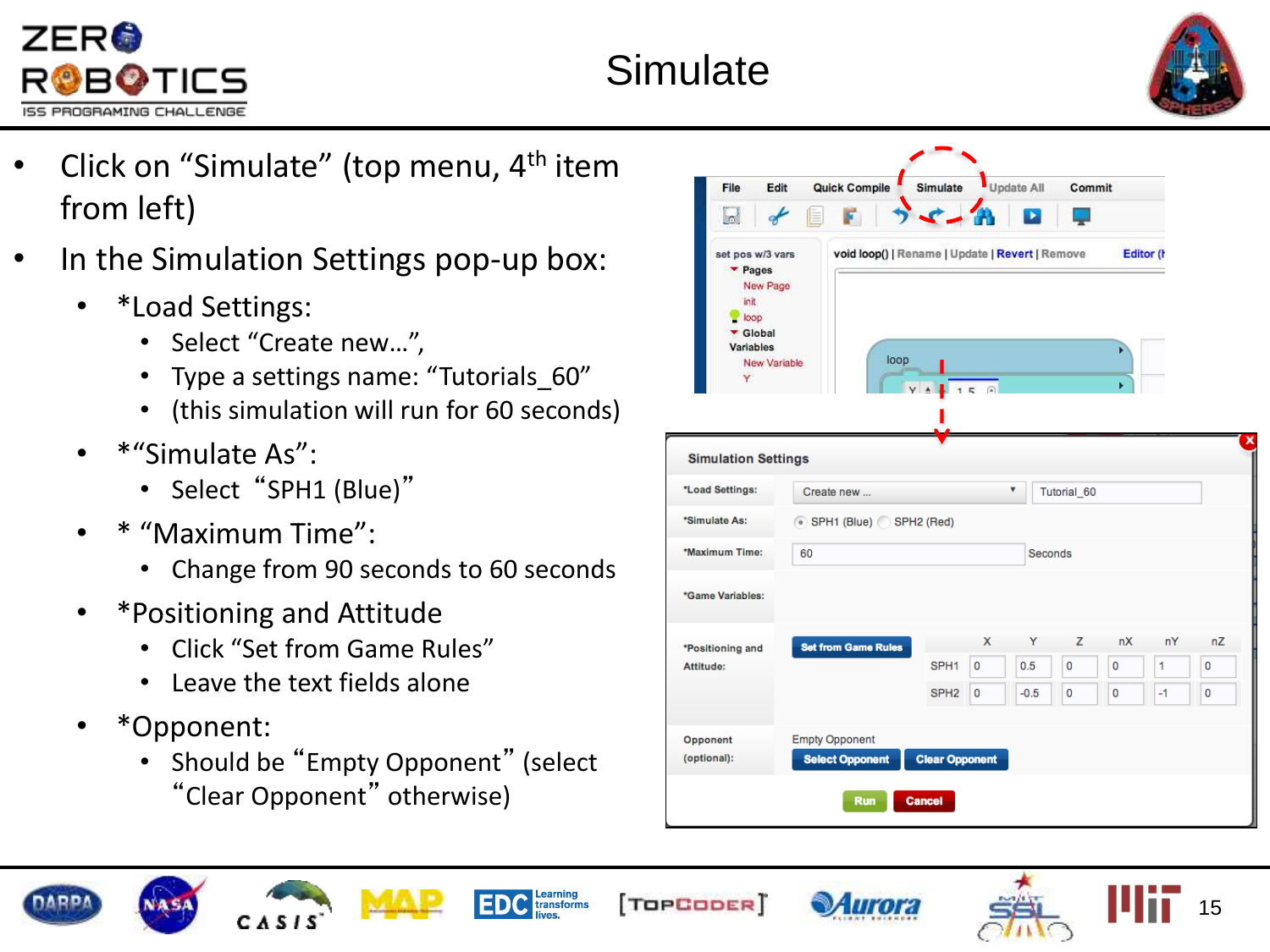

#### **Simulate**



- Click on "Simulate" (top menu, 4<sup>th</sup> item from left)
- In the Simulation Settings pop-up box:
	- \*Load Settings:
		- Select "Create new…",
		- Type a settings name: "Tutorials\_60"
		- (this simulation will run for 60 seconds)
	- \*"Simulate As":
		- Select "SPH1 (Blue)"
	- \* "Maximum Time":
		- Change from 90 seconds to 60 seconds
	- \*Positioning and Attitude
		- Click "Set from Game Rules"
		- Leave the text fields alone
	- \*Opponent:
		- Should be "Empty Opponent" (select "Clear Opponent" otherwise)











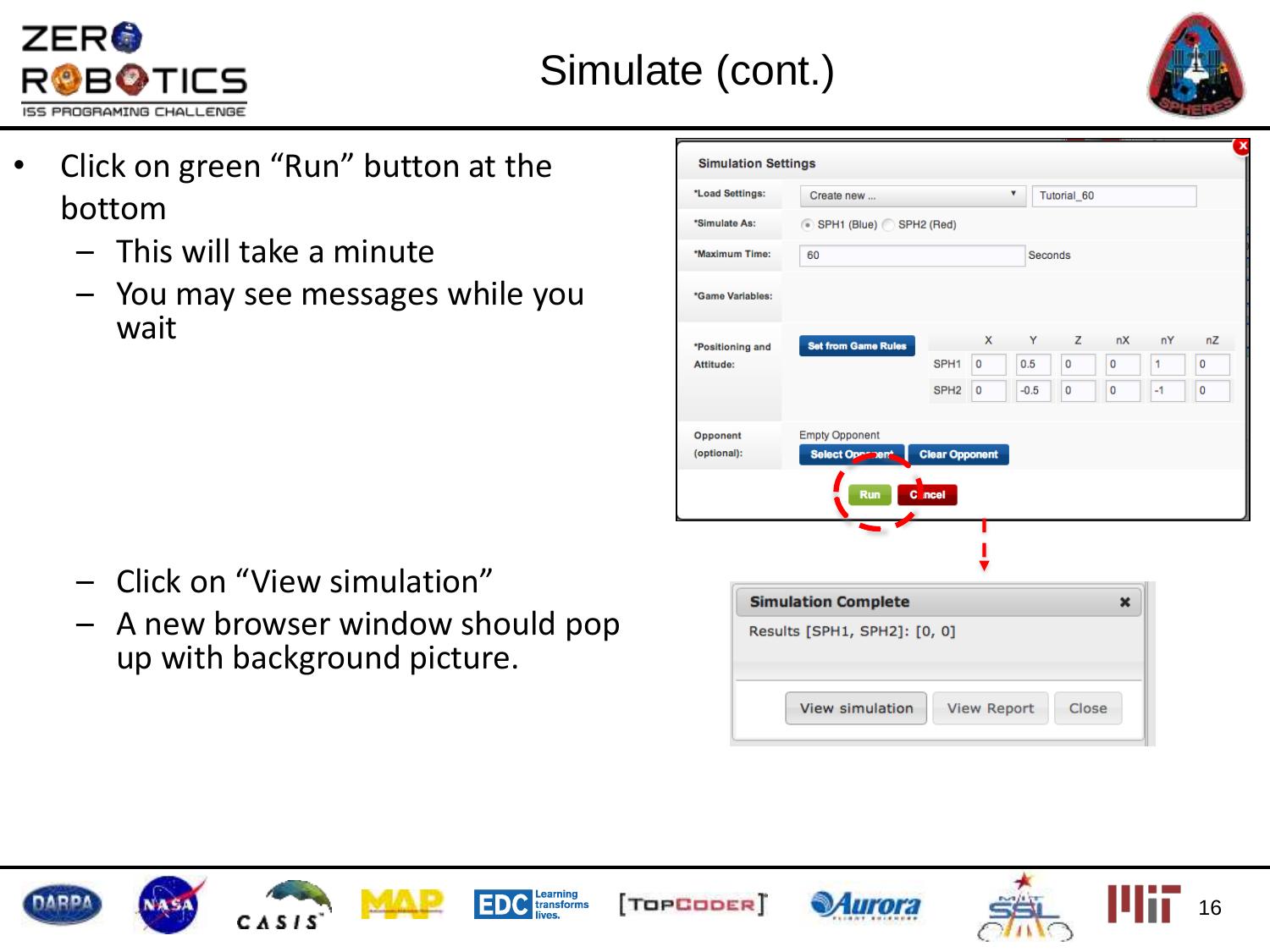



- Click on green "Run" button at the bottom
	- This will take a minute
	- You may see messages while you wait

|                  | <b>Simulation Settings</b> |                                 |   |                  |             |             |      |             |
|------------------|----------------------------|---------------------------------|---|------------------|-------------|-------------|------|-------------|
| *Load Settings:  | Create new                 |                                 |   | ۷<br>Tutorial_60 |             |             |      |             |
| *Simulate As:    | SPH1 (Blue) SPH2 (Red)     |                                 |   |                  |             |             |      |             |
| *Maximum Time:   | 60                         |                                 |   | Seconds          |             |             |      |             |
| *Game Variables: |                            |                                 |   |                  |             |             |      |             |
| *Positioning and | <b>Set from Game Rules</b> |                                 | X | Y                | Z           | nX          | nY   | nZ          |
| Attitude:        |                            | SPH <sub>1</sub><br>$\circ$     |   | 0.5              | $\mathbf 0$ | $\mathbf 0$ | 1    | 0           |
|                  |                            | SPH <sub>2</sub><br>$\mathbf 0$ |   | $-0.5$           | $\mathbf 0$ | 0           | $-1$ | $\mathbf 0$ |
| Opponent         | <b>Empty Opponent</b>      |                                 |   |                  |             |             |      |             |
| (optional):      | Select Open nem            | <b>Clear Opponent</b>           |   |                  |             |             |      |             |
|                  | <b>Run</b>                 | C ncel                          |   |                  |             |             |      |             |

- Click on "View simulation"
- A new browser window should pop up with background picture.

| <b>Simulation Complete</b>   |                    |       |
|------------------------------|--------------------|-------|
| Results [SPH1, SPH2]: [0, 0] |                    |       |
|                              |                    |       |
|                              |                    |       |
|                              |                    |       |
| <b>View simulation</b>       | <b>View Report</b> | Close |











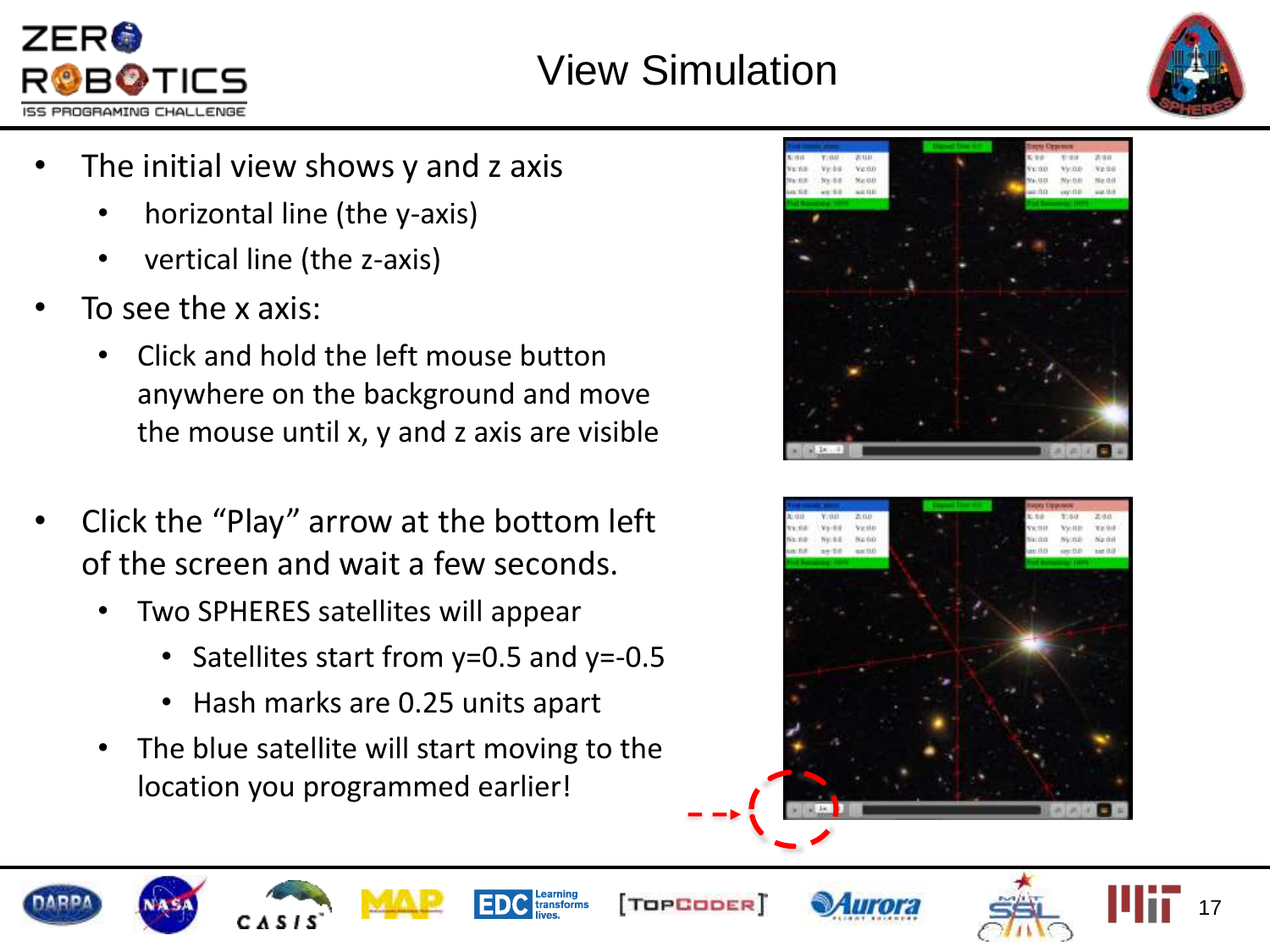



- The initial view shows y and z axis
	- horizontal line (the y-axis)
	- vertical line (the z-axis)
- To see the x axis:
	- Click and hold the left mouse button anywhere on the background and move the mouse until x, y and z axis are visible
- Click the "Play" arrow at the bottom left of the screen and wait a few seconds.
	- Two SPHERES satellites will appear
		- Satellites start from y=0.5 and y=-0.5
		- Hash marks are 0.25 units apart
	- The blue satellite will start moving to the location you programmed earlier!













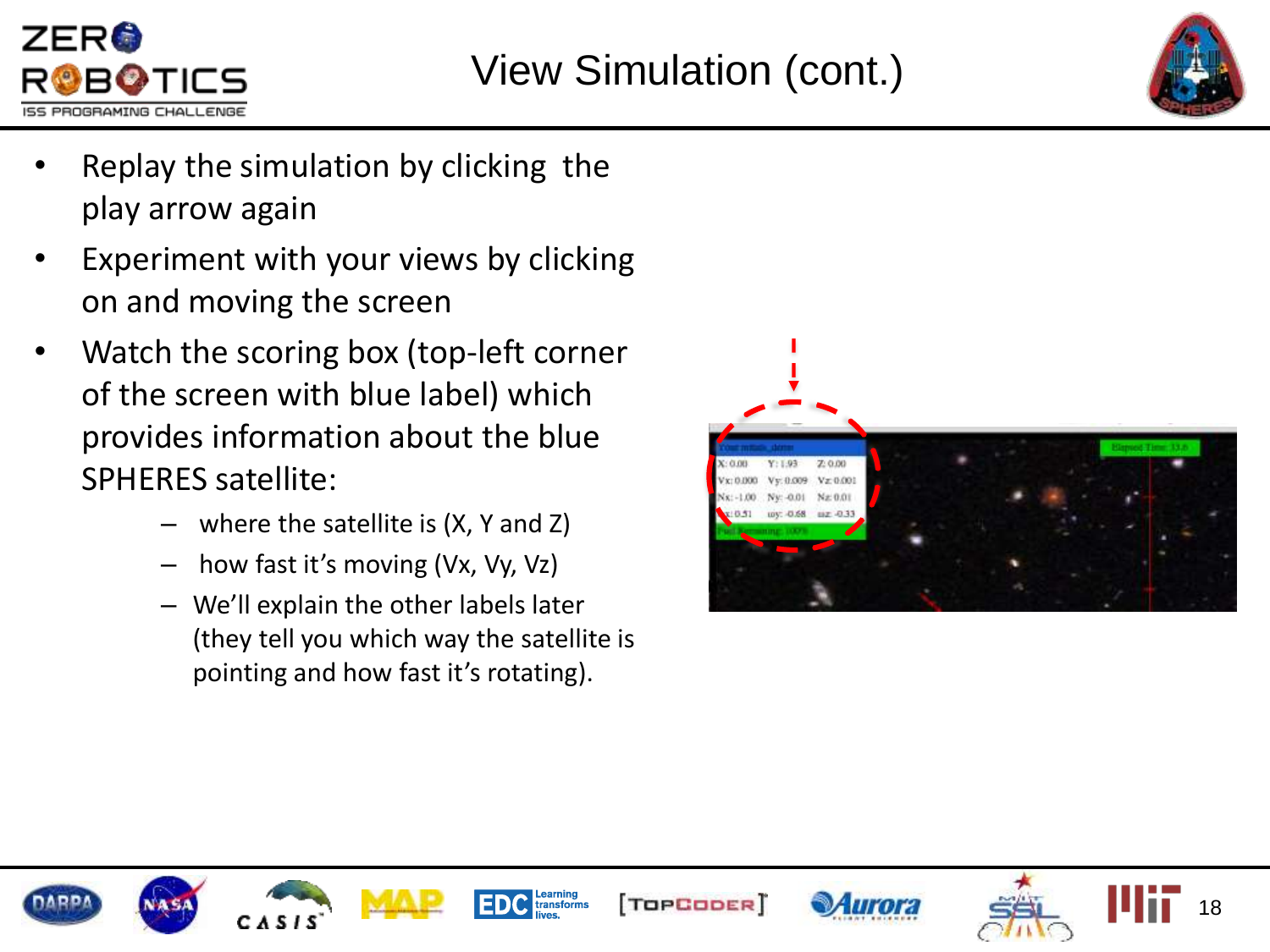



- Replay the simulation by clicking the play arrow again
- Experiment with your views by clicking on and moving the screen
- Watch the scoring box (top-left corner of the screen with blue label) which provides information about the blue SPHERES satellite:
	- where the satellite is  $(X, Y, Z)$
	- how fast it's moving (Vx, Vy, Vz)
	- We'll explain the other labels later (they tell you which way the satellite is pointing and how fast it's rotating).









TOPCODER<sup>T</sup>





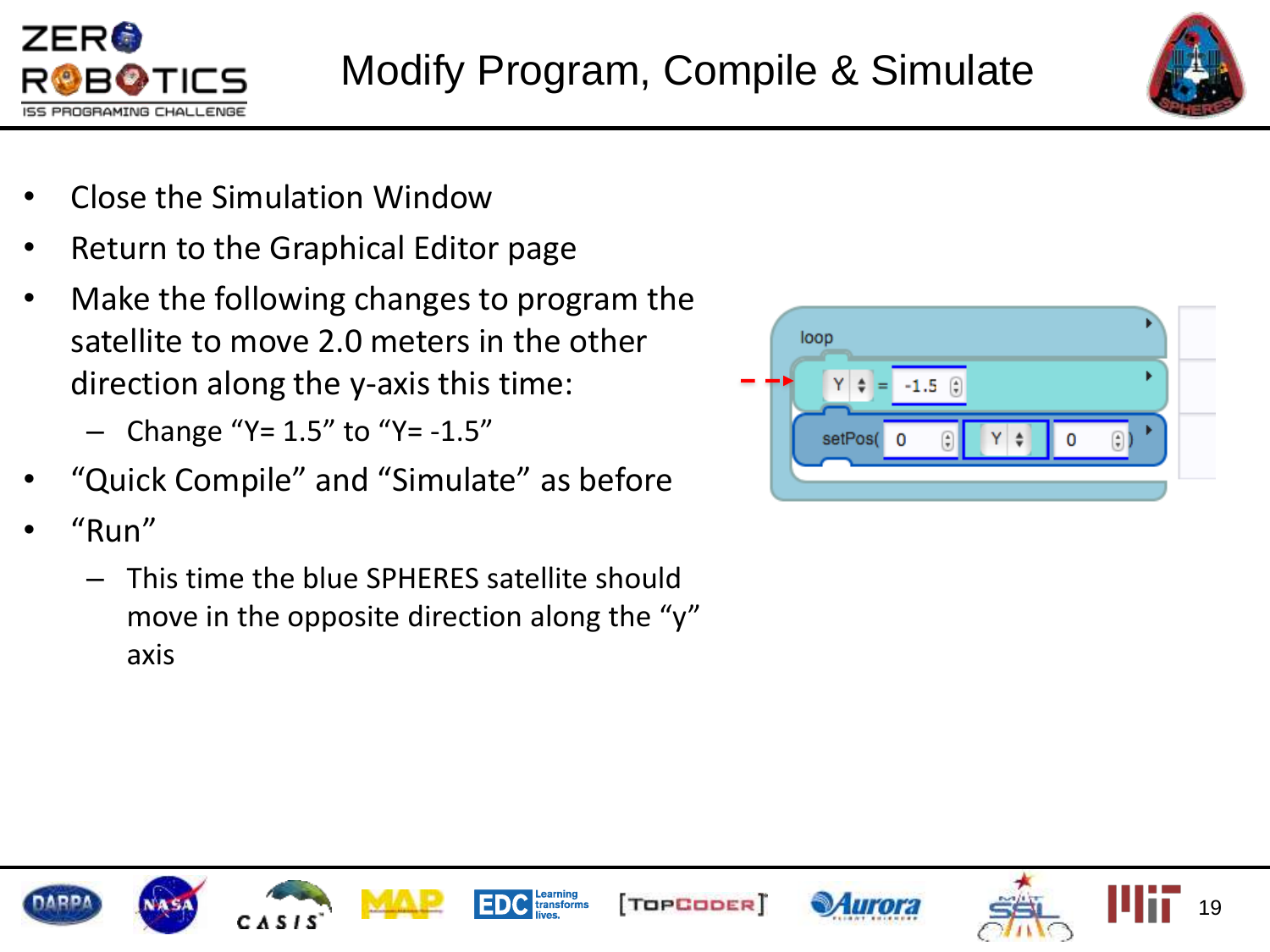



- Close the Simulation Window
- Return to the Graphical Editor page
- Make the following changes to program the satellite to move 2.0 meters in the other direction along the y-axis this time:
	- $-$  Change "Y= 1.5" to "Y= -1.5"
- "Quick Compile" and "Simulate" as before
- "Run"
	- This time the blue SPHERES satellite should move in the opposite direction along the "y" axis















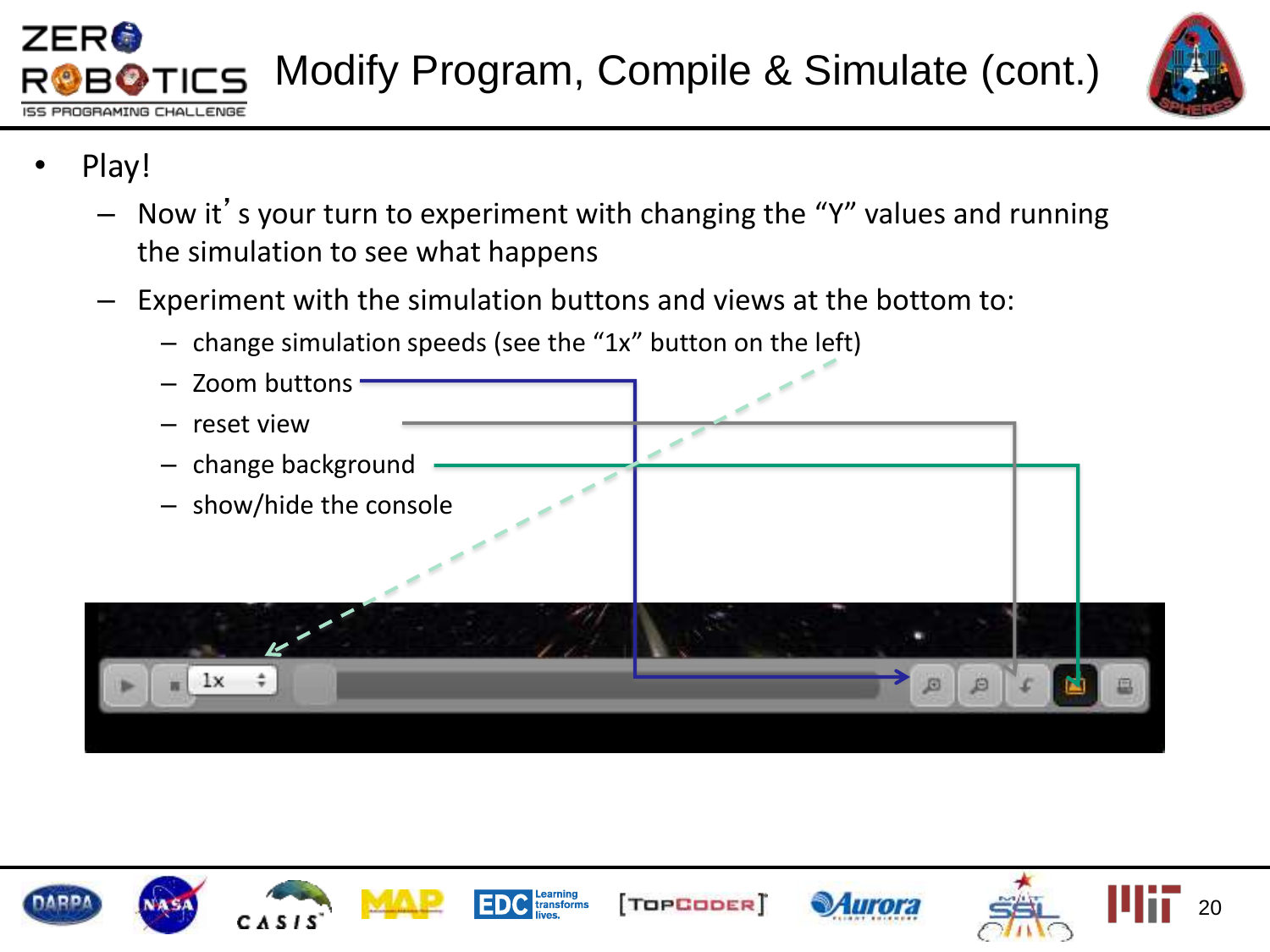



- Play!
	- Now it's your turn to experiment with changing the "Y" values and running the simulation to see what happens
	- Experiment with the simulation buttons and views at the bottom to:
		- change simulation speeds (see the "1x" button on the left)















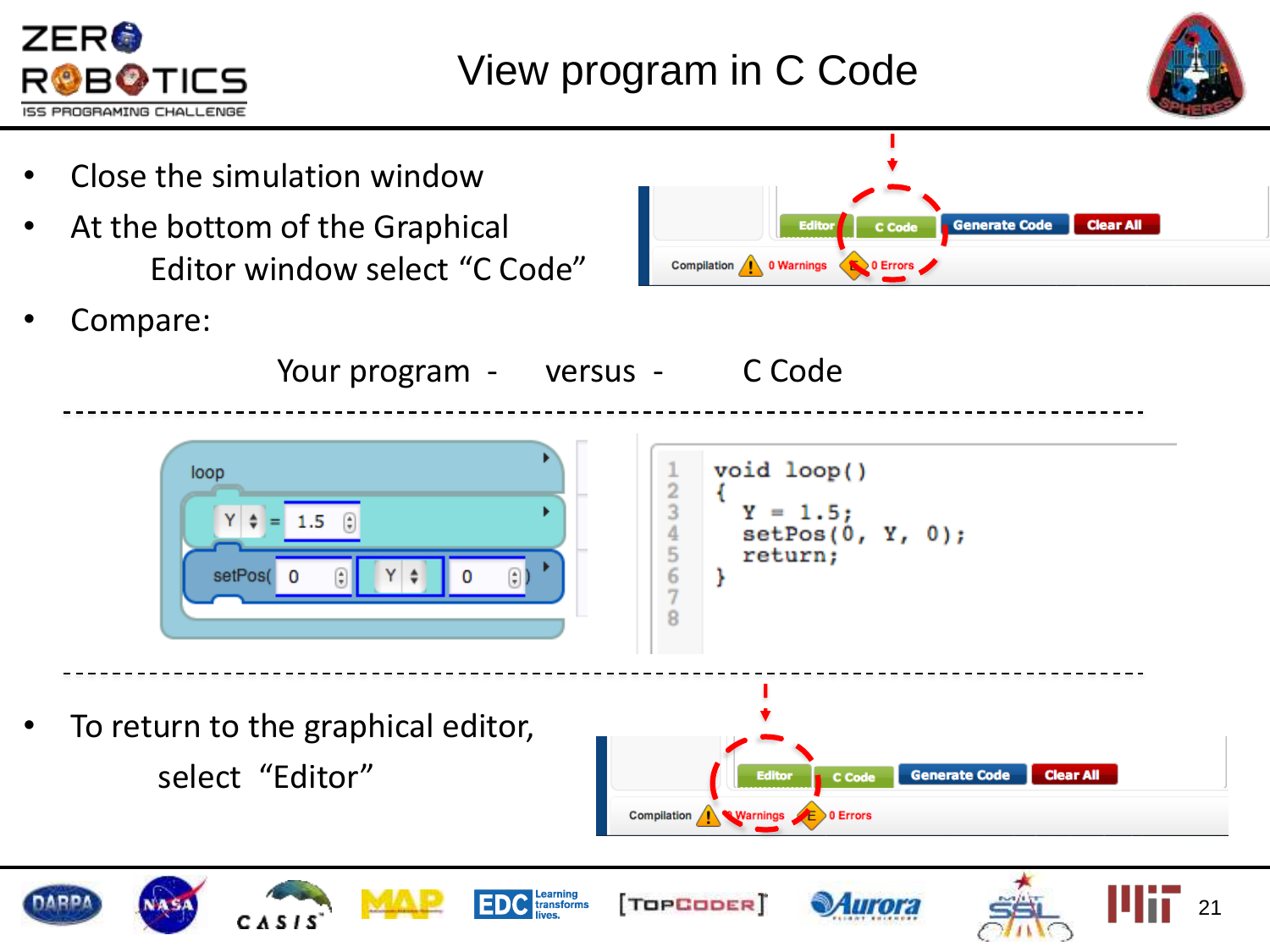



21



TOPCODER<sup>T</sup>

Murora

**Learning**<br>transforms